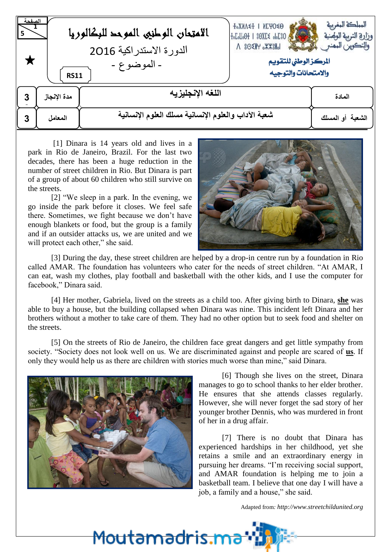| لصفحه<br>5 | <b>RS11</b> | الامتحان الوطنيى الموحد للبكالوريا<br>الدورة الاستدراكية 2016<br>- الموضوع - | <b>T°XNV≤T   NEAO≤O</b><br>Pergel®H 1 80XE POPER<br>$\Lambda$ 80 $\times$ $H$ $\times$ $\times$ $H$<br>المركز الوطني للتقويم<br>والامتحانات والتوجيه | المملكة المغربية<br>وزارة التربية الوصنية<br>والتكوين المهنع |
|------------|-------------|------------------------------------------------------------------------------|------------------------------------------------------------------------------------------------------------------------------------------------------|--------------------------------------------------------------|
| 3          | مدة الإنجاز | اللغه الإنجليزيه                                                             |                                                                                                                                                      | المادة                                                       |
| 3          | المعامل     | شعبة الآداب والعلوم الإنسانية مسلك العلوم الإنسانية                          |                                                                                                                                                      | الشعبة أو المسلك                                             |

[1] Dinara is 14 years old and lives in a park in Rio de Janeiro, Brazil. For the last two decades, there has been a huge reduction in the number of street children in Rio. But Dinara is part of a group of about 60 children who still survive on the streets.

[2] "We sleep in a park. In the evening, we go inside the park before it closes. We feel safe there. Sometimes, we fight because we don't have enough blankets or food, but the group is a family and if an outsider attacks us, we are united and we will protect each other," she said.



[3] During the day, these street children are helped by a drop-in centre run by a foundation in Rio called AMAR. The foundation has volunteers who cater for the needs of street children. "At AMAR, I can eat, wash my clothes, play football and basketball with the other kids, and I use the computer for facebook," Dinara said.

[4] Her mother, Gabriela, lived on the streets as a child too. After giving birth to Dinara, **she** was able to buy a house, but the building collapsed when Dinara was nine. This incident left Dinara and her brothers without a mother to take care of them. They had no other option but to seek food and shelter on the streets.

[5] On the streets of Rio de Janeiro, the children face great dangers and get little sympathy from society. "Society does not look well on us. We are discriminated against and people are scared of **us**. If only they would help us as there are children with stories much worse than mine," said Dinara.

<u>Moutamadris.m</u>



[6] Though she lives on the street, Dinara manages to go to school thanks to her elder brother. He ensures that she attends classes regularly. However, she will never forget the sad story of her younger brother Dennis, who was murdered in front of her in a drug affair.

[7] There is no doubt that Dinara has experienced hardships in her childhood, yet she retains a smile and an extraordinary energy in pursuing her dreams. "I'm receiving social support, and AMAR foundation is helping me to join a basketball team. I believe that one day I will have a job, a family and a house," she said.

Adapted from*: http://www.streetchildunited.org*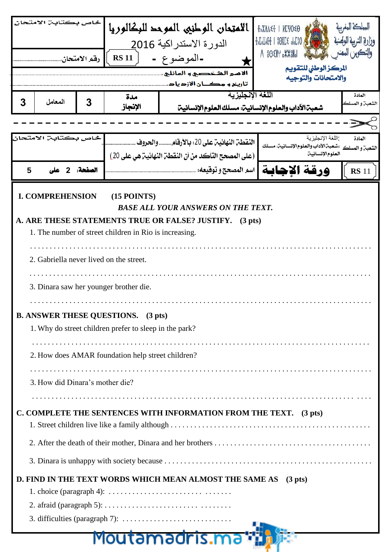| خاص بكتابي الامتحان                                                          |                                                                                        | الامتحان الوطني الموحد للبكالوريا | <b>+°XNV + NEAO €0</b>                                                                                                             |                                                                      |                                                 |              |  |
|------------------------------------------------------------------------------|----------------------------------------------------------------------------------------|-----------------------------------|------------------------------------------------------------------------------------------------------------------------------------|----------------------------------------------------------------------|-------------------------------------------------|--------------|--|
|                                                                              |                                                                                        | الدورة الاستدراكية 2016           |                                                                                                                                    | $+oLoloO+$   $80XE5$ $oL3O$ $s$                                      |                                                 |              |  |
| رقم الامتحان.                                                                |                                                                                        | <b>RS 11</b>                      | -الموضوع -                                                                                                                         |                                                                      | $\Lambda$ 80 $\times$ $\mathbb{R}$ $\mathbb{R}$ |              |  |
|                                                                              |                                                                                        |                                   |                                                                                                                                    | الأمير الشخصيي و الهائلي،                                            | المركز الوطنى للتقويم<br>والامتحانات والتوجيه   |              |  |
|                                                                              |                                                                                        |                                   |                                                                                                                                    | تأريخ و مکــان الأزدياد.<br>اللغة الإنجليزية                         |                                                 | المادة       |  |
| 3                                                                            | المعامل                                                                                | 3                                 | مدة<br>الإنجاز                                                                                                                     | شعبت الآداب والعلوم الإنسانيت: مسلك العلوم الإنسانيت                 |                                                 | لشعبت و المه |  |
|                                                                              |                                                                                        |                                   |                                                                                                                                    |                                                                      |                                                 |              |  |
|                                                                              |                                                                                        |                                   |                                                                                                                                    | النقطن النهائين على 20: بالأرقام والحروف.                            | اللغة الإنجليزية                                | المادة       |  |
|                                                                              |                                                                                        |                                   | الشعبن و المسلك : شعبن الآداب والعلوم الإنسانين: مسلك<br>العلوم الإنسانين<br>(على المصحح التأكد من أن النقطـ، النهائيـ، هي على 20) |                                                                      |                                                 |              |  |
| 5                                                                            |                                                                                        | الصفحة: 2                         |                                                                                                                                    | اسم المصحح و توقيعه: .                                               | ورقة الاحاية                                    | <b>RS</b> 11 |  |
|                                                                              | <b>I. COMPREHENSION</b>                                                                |                                   | $(15$ POINTS)                                                                                                                      |                                                                      |                                                 |              |  |
|                                                                              |                                                                                        |                                   |                                                                                                                                    | <b>BASE ALL YOUR ANSWERS ON THE TEXT.</b>                            |                                                 |              |  |
|                                                                              |                                                                                        |                                   |                                                                                                                                    | A. ARE THESE STATEMENTS TRUE OR FALSE? JUSTIFY.<br>$(3 \text{ pts})$ |                                                 |              |  |
|                                                                              |                                                                                        |                                   | 1. The number of street children in Rio is increasing.                                                                             |                                                                      |                                                 |              |  |
|                                                                              |                                                                                        |                                   |                                                                                                                                    |                                                                      |                                                 |              |  |
|                                                                              |                                                                                        |                                   | 2. Gabriella never lived on the street.                                                                                            |                                                                      |                                                 |              |  |
|                                                                              |                                                                                        |                                   | 3. Dinara saw her younger brother die.                                                                                             |                                                                      |                                                 |              |  |
|                                                                              |                                                                                        |                                   |                                                                                                                                    |                                                                      |                                                 |              |  |
|                                                                              |                                                                                        |                                   | <b>B. ANSWER THESE QUESTIONS.</b> (3 pts)                                                                                          |                                                                      |                                                 |              |  |
|                                                                              | 1. Why do street children prefer to sleep in the park?                                 |                                   |                                                                                                                                    |                                                                      |                                                 |              |  |
|                                                                              |                                                                                        |                                   |                                                                                                                                    |                                                                      |                                                 |              |  |
|                                                                              | 2. How does AMAR foundation help street children?                                      |                                   |                                                                                                                                    |                                                                      |                                                 |              |  |
|                                                                              | 3. How did Dinara's mother die?                                                        |                                   |                                                                                                                                    |                                                                      |                                                 |              |  |
|                                                                              |                                                                                        |                                   |                                                                                                                                    |                                                                      |                                                 |              |  |
| C. COMPLETE THE SENTENCES WITH INFORMATION FROM THE TEXT. (3 pts)            |                                                                                        |                                   |                                                                                                                                    |                                                                      |                                                 |              |  |
|                                                                              |                                                                                        |                                   |                                                                                                                                    |                                                                      |                                                 |              |  |
|                                                                              |                                                                                        |                                   |                                                                                                                                    |                                                                      |                                                 |              |  |
|                                                                              |                                                                                        |                                   |                                                                                                                                    |                                                                      |                                                 |              |  |
| D. FIND IN THE TEXT WORDS WHICH MEAN ALMOST THE SAME AS<br>$(3 \text{ pts})$ |                                                                                        |                                   |                                                                                                                                    |                                                                      |                                                 |              |  |
|                                                                              | 1. choice (paragraph 4): $\dots \dots \dots \dots \dots \dots \dots \dots \dots \dots$ |                                   |                                                                                                                                    |                                                                      |                                                 |              |  |
|                                                                              |                                                                                        |                                   |                                                                                                                                    |                                                                      |                                                 |              |  |
|                                                                              |                                                                                        |                                   |                                                                                                                                    |                                                                      |                                                 |              |  |
| <u>Moutamadris.ma</u>                                                        |                                                                                        |                                   |                                                                                                                                    |                                                                      |                                                 |              |  |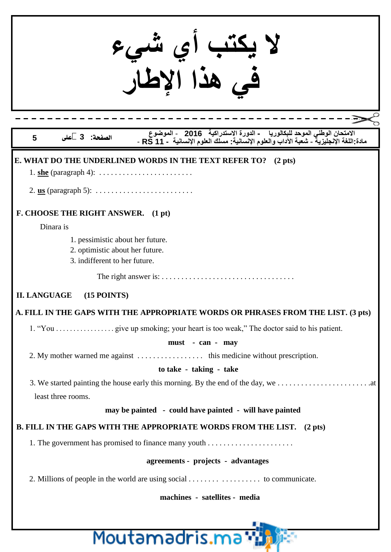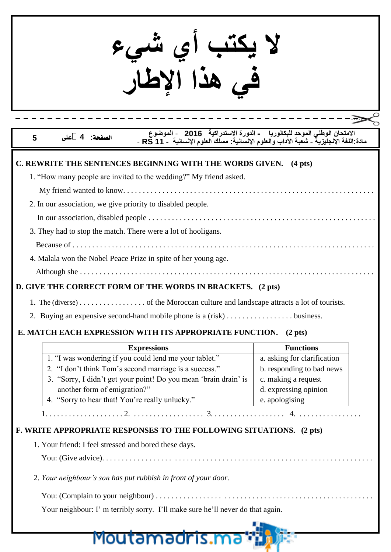**ال يكتب أي شيء في هذا اإلطار**

## **االمتحان الوطني الموحد للبكالوريا - الدورة االتستدرايية 2016** - **الموضوع الصفحة: 4 على 5 مادة:اللغة اإلنجليزية** - **شعبة اآلداب والعلوم اإلنسانية: مسلك العلوم اإلنسانية - 11 RS** -

| C. REWRITE THE SENTENCES BEGINNING WITH THE WORDS GIVEN. (4 pts)                                 |                                         |  |  |  |  |
|--------------------------------------------------------------------------------------------------|-----------------------------------------|--|--|--|--|
| 1. "How many people are invited to the wedding?" My friend asked.                                |                                         |  |  |  |  |
|                                                                                                  |                                         |  |  |  |  |
| 2. In our association, we give priority to disabled people.                                      |                                         |  |  |  |  |
|                                                                                                  |                                         |  |  |  |  |
| 3. They had to stop the match. There were a lot of hooligans.                                    |                                         |  |  |  |  |
|                                                                                                  |                                         |  |  |  |  |
| 4. Malala won the Nobel Peace Prize in spite of her young age.                                   |                                         |  |  |  |  |
|                                                                                                  |                                         |  |  |  |  |
| D. GIVE THE CORRECT FORM OF THE WORDS IN BRACKETS. (2 pts)                                       |                                         |  |  |  |  |
|                                                                                                  |                                         |  |  |  |  |
|                                                                                                  |                                         |  |  |  |  |
| 2. Buying an expensive second-hand mobile phone is a (risk) business.                            |                                         |  |  |  |  |
| E. MATCH EACH EXPRESSION WITH ITS APPROPRIATE FUNCTION. (2 pts)                                  |                                         |  |  |  |  |
| <b>Expressions</b>                                                                               | <b>Functions</b>                        |  |  |  |  |
| 1. "I was wondering if you could lend me your tablet."                                           | a. asking for clarification             |  |  |  |  |
| 2. "I don't think Tom's second marriage is a success."                                           | b. responding to bad news               |  |  |  |  |
| 3. "Sorry, I didn't get your point! Do you mean 'brain drain' is<br>another form of emigration?" | c. making a request                     |  |  |  |  |
| 4. "Sorry to hear that! You're really unlucky."                                                  | d. expressing opinion<br>e. apologising |  |  |  |  |
|                                                                                                  |                                         |  |  |  |  |
|                                                                                                  |                                         |  |  |  |  |
| F. WRITE APPROPRIATE RESPONSES TO THE FOLLOWING SITUATIONS. (2 pts)                              |                                         |  |  |  |  |
| 1. Your friend: I feel stressed and bored these days.                                            |                                         |  |  |  |  |
|                                                                                                  |                                         |  |  |  |  |
| 2. Your neighbour's son has put rubbish in front of your door.                                   |                                         |  |  |  |  |
|                                                                                                  |                                         |  |  |  |  |
| Your neighbour: I' m terribly sorry. I'll make sure he'll never do that again.                   |                                         |  |  |  |  |
|                                                                                                  |                                         |  |  |  |  |
| Moutamadris.ma*i                                                                                 |                                         |  |  |  |  |

4 L